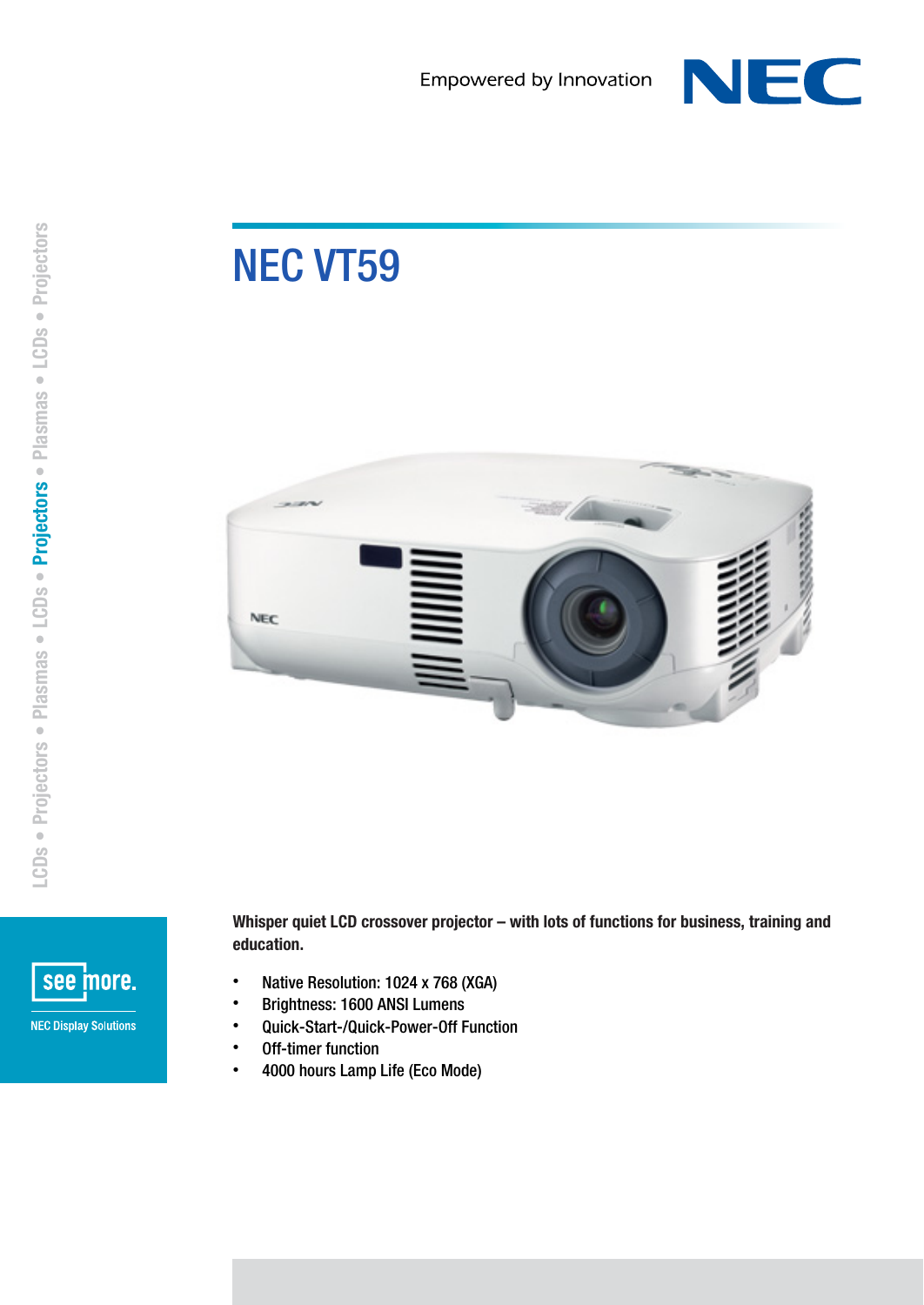

## NEC VT59





Whisper quiet LCD crossover projector – with lots of functions for business, training and education.

- Native Resolution: 1024 x 768 (XGA)
- Brightness: 1600 ANSI Lumens
- Quick-Start-/Quick-Power-Off Function
- Off-timer function
- 4000 hours Lamp Life (Eco Mode)